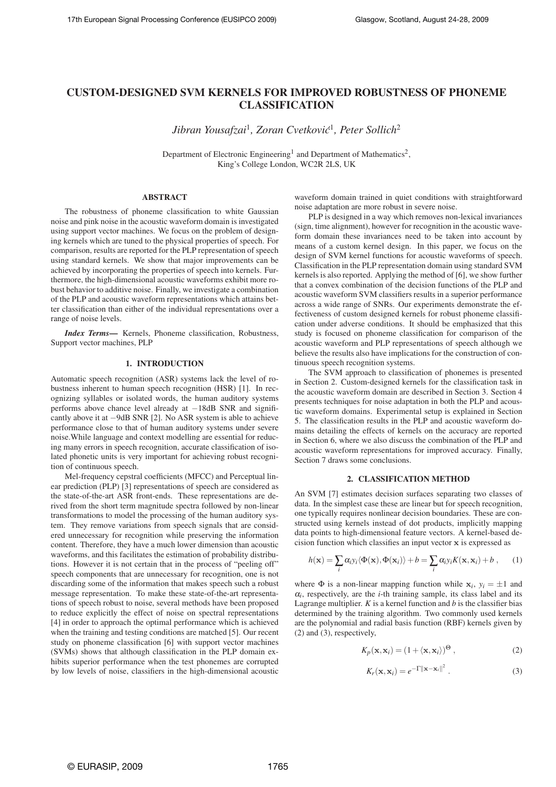# **CUSTOM-DESIGNED SVM KERNELS FOR IMPROVED ROBUSTNESS OF PHONEME CLASSIFICATION**

*Jibran Yousafzai*<sup>1</sup> *, Zoran Cvetkovic´* 1 *, Peter Sollich*<sup>2</sup>

Department of Electronic Engineering<sup>1</sup> and Department of Mathematics<sup>2</sup>, King's College London, WC2R 2LS, UK

### **ABSTRACT**

The robustness of phoneme classification to white Gaussian noise and pink noise in the acoustic waveform domain is investigated using support vector machines. We focus on the problem of designing kernels which are tuned to the physical properties of speech. For comparison, results are reported for the PLP representation of speech using standard kernels. We show that major improvements can be achieved by incorporating the properties of speech into kernels. Furthermore, the high-dimensional acoustic waveforms exhibit more robust behavior to additive noise. Finally, we investigate a combination of the PLP and acoustic waveform representations which attains better classification than either of the individual representations over a range of noise levels.

*Index Terms***—** Kernels, Phoneme classification, Robustness, Support vector machines, PLP

# **1. INTRODUCTION**

Automatic speech recognition (ASR) systems lack the level of robustness inherent to human speech recognition (HSR) [1]. In recognizing syllables or isolated words, the human auditory systems performs above chance level already at −18dB SNR and significantly above it at −9dB SNR [2]. No ASR system is able to achieve performance close to that of human auditory systems under severe noise.While language and context modelling are essential for reducing many errors in speech recognition, accurate classification of isolated phonetic units is very important for achieving robust recognition of continuous speech.

Mel-frequency cepstral coefficients (MFCC) and Perceptual linear prediction (PLP) [3] representations of speech are considered as the state-of-the-art ASR front-ends. These representations are derived from the short term magnitude spectra followed by non-linear transformations to model the processing of the human auditory system. They remove variations from speech signals that are considered unnecessary for recognition while preserving the information content. Therefore, they have a much lower dimension than acoustic waveforms, and this facilitates the estimation of probability distributions. However it is not certain that in the process of "peeling off" speech components that are unnecessary for recognition, one is not discarding some of the information that makes speech such a robust message representation. To make these state-of-the-art representations of speech robust to noise, several methods have been proposed to reduce explicitly the effect of noise on spectral representations [4] in order to approach the optimal performance which is achieved when the training and testing conditions are matched [5]. Our recent study on phoneme classification [6] with support vector machines (SVMs) shows that although classification in the PLP domain exhibits superior performance when the test phonemes are corrupted by low levels of noise, classifiers in the high-dimensional acoustic

waveform domain trained in quiet conditions with straightforward noise adaptation are more robust in severe noise.

PLP is designed in a way which removes non-lexical invariances (sign, time alignment), however for recognition in the acoustic waveform domain these invariances need to be taken into account by means of a custom kernel design. In this paper, we focus on the design of SVM kernel functions for acoustic waveforms of speech. Classification in the PLP representation domain using standard SVM kernels is also reported. Applying the method of [6], we show further that a convex combination of the decision functions of the PLP and acoustic waveform SVM classifiers results in a superior performance across a wide range of SNRs. Our experiments demonstrate the effectiveness of custom designed kernels for robust phoneme classification under adverse conditions. It should be emphasized that this study is focused on phoneme classification for comparison of the acoustic waveform and PLP representations of speech although we believe the results also have implications for the construction of continuous speech recognition systems.

The SVM approach to classification of phonemes is presented in Section 2. Custom-designed kernels for the classification task in the acoustic waveform domain are described in Section 3. Section 4 presents techniques for noise adaptation in both the PLP and acoustic waveform domains. Experimental setup is explained in Section 5. The classification results in the PLP and acoustic waveform domains detailing the effects of kernels on the accuracy are reported in Section 6, where we also discuss the combination of the PLP and acoustic waveform representations for improved accuracy. Finally, Section 7 draws some conclusions.

# **2. CLASSIFICATION METHOD**

An SVM [7] estimates decision surfaces separating two classes of data. In the simplest case these are linear but for speech recognition, one typically requires nonlinear decision boundaries. These are constructed using kernels instead of dot products, implicitly mapping data points to high-dimensional feature vectors. A kernel-based decision function which classifies an input vector  $x$  is expressed as

$$
h(\mathbf{x}) = \sum_{i} \alpha_{i} y_{i} \langle \Phi(\mathbf{x}), \Phi(\mathbf{x}_{i}) \rangle + b = \sum_{i} \alpha_{i} y_{i} K(\mathbf{x}, \mathbf{x}_{i}) + b , \qquad (1)
$$

where  $\Phi$  is a non-linear mapping function while  $\mathbf{x}_i$ ,  $y_i = \pm 1$  and  $\alpha_i$ , respectively, are the *i*-th training sample, its class label and its Lagrange multiplier. *K* is a kernel function and *b* is the classifier bias determined by the training algorithm. Two commonly used kernels are the polynomial and radial basis function (RBF) kernels given by (2) and (3), respectively,

$$
K_p(\mathbf{x}, \mathbf{x}_i) = (1 + \langle \mathbf{x}, \mathbf{x}_i \rangle)^{\Theta}, \tag{2}
$$

$$
K_r(\mathbf{x}, \mathbf{x}_i) = e^{-\Gamma ||\mathbf{x} - \mathbf{x}_i||^2}.
$$
 (3)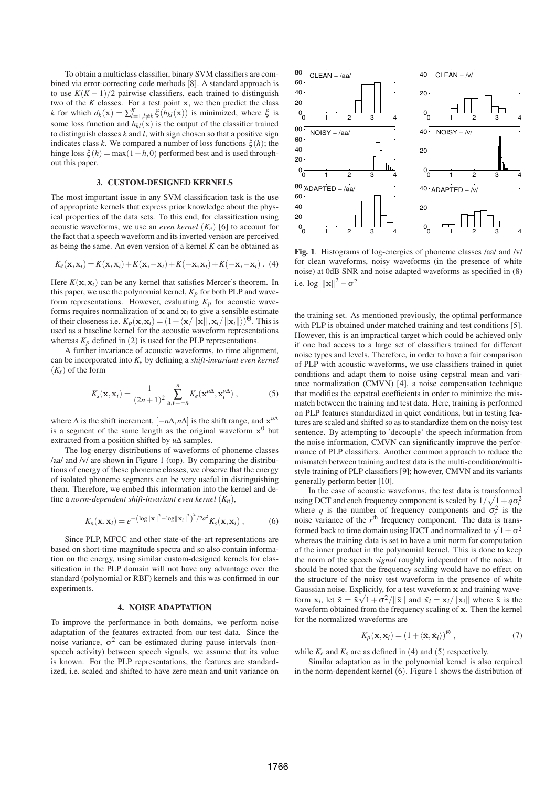To obtain a multiclass classifier, binary SVM classifiers are combined via error-correcting code methods [8]. A standard approach is to use  $K(K-1)/2$  pairwise classifiers, each trained to distinguish two of the  $K$  classes. For a test point  $x$ , we then predict the class *k* for which  $d_k(\mathbf{x}) = \sum_{l=1, l \neq k}^{K} \xi(h_{kl}(\mathbf{x}))$  is minimized, where  $\xi$  is some loss function and  $h_{kl}(\mathbf{x})$  is the output of the classifier trained to distinguish classes *k* and *l*, with sign chosen so that a positive sign indicates class *k*. We compared a number of loss functions  $\xi(h)$ ; the hinge loss  $\xi(h) = \max(1-h,0)$  performed best and is used throughout this paper.

# **3. CUSTOM-DESIGNED KERNELS**

The most important issue in any SVM classification task is the use of appropriate kernels that express prior knowledge about the physical properties of the data sets. To this end, for classification using acoustic waveforms, we use an *even kernel* (*Ke*) [6] to account for the fact that a speech waveform and its inverted version are perceived as being the same. An even version of a kernel *K* can be obtained as

$$
K_e(\mathbf{x}, \mathbf{x}_i) = K(\mathbf{x}, \mathbf{x}_i) + K(\mathbf{x}, -\mathbf{x}_i) + K(-\mathbf{x}, \mathbf{x}_i) + K(-\mathbf{x}, -\mathbf{x}_i).
$$
 (4)

Here  $K(\mathbf{x}, \mathbf{x}_i)$  can be any kernel that satisfies Mercer's theorem. In this paper, we use the polynomial kernel,  $K_p$  for both PLP and waveform representations. However, evaluating  $K_p$  for acoustic waveforms requires normalization of  $x$  and  $x_i$  to give a sensible estimate of their closeness i.e.  $K_p(\mathbf{x}, \mathbf{x}_i) = (1 + \langle \mathbf{x}/||\mathbf{x}||, \mathbf{x}_i/||\mathbf{x}_i||)^{\Theta}$ . This is used as a baseline kernel for the acoustic waveform representations whereas  $K_p$  defined in (2) is used for the PLP representations.

A further invariance of acoustic waveforms, to time alignment, can be incorporated into *Ke* by defining a *shift-invariant even kernel* (*Ks*) of the form

$$
K_s(\mathbf{x}, \mathbf{x}_i) = \frac{1}{(2n+1)^2} \sum_{u,v=-n}^n K_e(\mathbf{x}^{u\Delta}, \mathbf{x}_i^{v\Delta}), \qquad (5)
$$

where  $\Delta$  is the shift increment,  $[-n\Delta, n\Delta]$  is the shift range, and  $x^{u\Delta}$ is a segment of the same length as the original waveform  $x^0$  but extracted from a position shifted by *u*∆ samples.

The log-energy distributions of waveforms of phoneme classes /aa/ and /v/ are shown in Figure 1 (top). By comparing the distributions of energy of these phoneme classes, we observe that the energy of isolated phoneme segments can be very useful in distinguishing them. Therefore, we embed this information into the kernel and define a *norm-dependent shift-invariant even kernel* (*Kn*),

$$
K_n(\mathbf{x}, \mathbf{x}_i) = e^{-\left(\log \|\mathbf{x}\|^2 - \log \|\mathbf{x}_i\|^2\right)^2 / 2a^2} K_s(\mathbf{x}, \mathbf{x}_i) , \qquad (6)
$$

Since PLP, MFCC and other state-of-the-art representations are based on short-time magnitude spectra and so also contain information on the energy, using similar custom-designed kernels for classification in the PLP domain will not have any advantage over the standard (polynomial or RBF) kernels and this was confirmed in our experiments.

#### **4. NOISE ADAPTATION**

To improve the performance in both domains, we perform noise adaptation of the features extracted from our test data. Since the noise variance,  $\sigma^2$  can be estimated during pause intervals (nonspeech activity) between speech signals, we assume that its value is known. For the PLP representations, the features are standardized, i.e. scaled and shifted to have zero mean and unit variance on



**Fig. 1**. Histograms of log-energies of phoneme classes /aa/ and /v/ for clean waveforms, noisy waveforms (in the presence of white noise) at 0dB SNR and noise adapted waveforms as specified in (8) i.e.  $\log \left| \|\mathbf{x}\|^2 - \sigma^2 \right|$ 

the training set. As mentioned previously, the optimal performance with PLP is obtained under matched training and test conditions [5]. However, this is an impractical target which could be achieved only if one had access to a large set of classifiers trained for different noise types and levels. Therefore, in order to have a fair comparison of PLP with acoustic waveforms, we use classifiers trained in quiet conditions and adapt them to noise using cepstral mean and variance normalization (CMVN) [4], a noise compensation technique that modifies the cepstral coefficients in order to minimize the mismatch between the training and test data. Here, training is performed on PLP features standardized in quiet conditions, but in testing features are scaled and shifted so as to standardize them on the noisy test sentence. By attempting to 'decouple' the speech information from the noise information, CMVN can significantly improve the performance of PLP classifiers. Another common approach to reduce the mismatch between training and test data is the multi-condition/multistyle training of PLP classifiers [9]; however, CMVN and its variants generally perform better [10].

In the case of acoustic waveforms, the test data is transformed using DCT and each frequency component is scaled by  $1/\sqrt{1+q\sigma_r^2}$ where q is the number of frequency components and  $\sigma_r^2$  is the noise variance of the r<sup>th</sup> frequency component. The data is transformed back to time domain using IDCT and normalized to  $\sqrt{1+\sigma^2}$ whereas the training data is set to have a unit norm for computation of the inner product in the polynomial kernel. This is done to keep the norm of the speech *signal* roughly independent of the noise. It should be noted that the frequency scaling would have no effect on the structure of the noisy test waveform in the presence of white Gaussian noise. Explicitly, for a test waveform x and training waveform  $\mathbf{x}_i$ , let  $\tilde{\mathbf{x}} = \hat{\mathbf{x}} \sqrt{1 + \sigma^2} / ||\hat{\mathbf{x}}||$  and  $\tilde{\mathbf{x}}_i = \mathbf{x}_i / ||\mathbf{x}_i||$  where  $\hat{\mathbf{x}}$  is the waveform obtained from the frequency scaling of x. Then the kernel for the normalized waveforms are

$$
K_p(\mathbf{x}, \mathbf{x}_i) = (1 + \langle \tilde{\mathbf{x}}, \tilde{\mathbf{x}}_i \rangle)^{\Theta} , \qquad (7)
$$

while  $K_e$  and  $K_s$  are as defined in (4) and (5) respectively.

Similar adaptation as in the polynomial kernel is also required in the norm-dependent kernel (6). Figure 1 shows the distribution of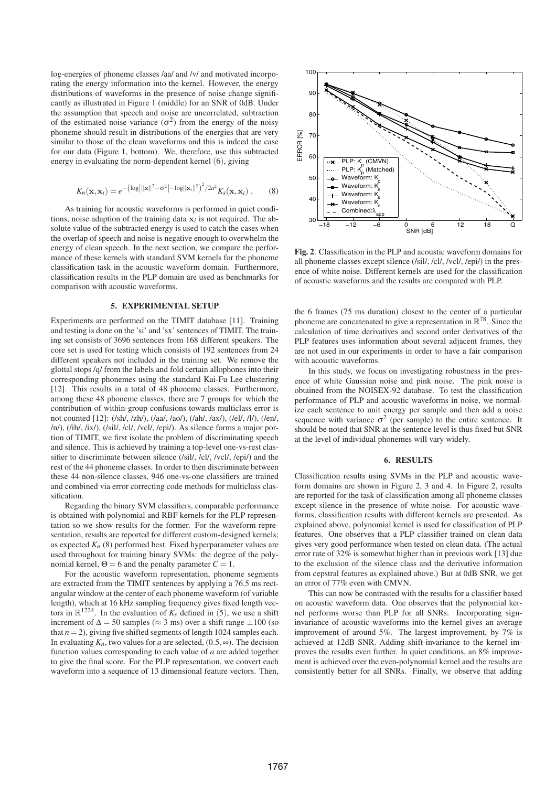log-energies of phoneme classes /aa/ and /v/ and motivated incorporating the energy information into the kernel. However, the energy distributions of waveforms in the presence of noise change significantly as illustrated in Figure 1 (middle) for an SNR of 0dB. Under the assumption that speech and noise are uncorrelated, subtraction of the estimated noise variance  $(\sigma^2)$  from the energy of the noisy phoneme should result in distributions of the energies that are very similar to those of the clean waveforms and this is indeed the case for our data (Figure 1, bottom). We, therefore, use this subtracted energy in evaluating the norm-dependent kernel (6), giving

$$
K_n(\mathbf{x}, \mathbf{x}_i) = e^{-\left(\log \left|\|\mathbf{x}\|^{2} - \sigma^{2}\right| - \log \left\|\mathbf{x}_i\right\|^{2}\right)^{2}/2a^{2}} K_{s}(\mathbf{x}, \mathbf{x}_i) , \quad (8)
$$

As training for acoustic waveforms is performed in quiet conditions, noise adaption of the training data  $\mathbf{x}_i$  is not required. The absolute value of the subtracted energy is used to catch the cases when the overlap of speech and noise is negative enough to overwhelm the energy of clean speech. In the next section, we compare the performance of these kernels with standard SVM kernels for the phoneme classification task in the acoustic waveform domain. Furthermore, classification results in the PLP domain are used as benchmarks for comparison with acoustic waveforms.

#### **5. EXPERIMENTAL SETUP**

Experiments are performed on the TIMIT database [11]. Training and testing is done on the 'si' and 'sx' sentences of TIMIT. The training set consists of 3696 sentences from 168 different speakers. The core set is used for testing which consists of 192 sentences from 24 different speakers not included in the training set. We remove the glottal stops /q/ from the labels and fold certain allophones into their corresponding phonemes using the standard Kai-Fu Lee clustering [12]. This results in a total of 48 phoneme classes. Furthermore, among these 48 phoneme classes, there are 7 groups for which the contribution of within-group confusions towards multiclass error is not counted [12]: (/sh/, /zh/), (/aa/, /ao/), (/ah/, /ax/), (/el/, /l/), (/en/, /n/), (/ih/, /ix/), (/sil/, /cl/, /vcl/, /epi/). As silence forms a major portion of TIMIT, we first isolate the problem of discriminating speech and silence. This is achieved by training a top-level one-vs-rest classifier to discriminate between silence (/sil/, /cl/, /vcl/, /epi/) and the rest of the 44 phoneme classes. In order to then discriminate between these 44 non-silence classes, 946 one-vs-one classifiers are trained and combined via error correcting code methods for multiclass classification.

Regarding the binary SVM classifiers, comparable performance is obtained with polynomial and RBF kernels for the PLP representation so we show results for the former. For the waveform representation, results are reported for different custom-designed kernels; as expected  $K_n$  (8) performed best. Fixed hyperparameter values are used throughout for training binary SVMs: the degree of the polynomial kernel,  $\Theta = 6$  and the penalty parameter  $C = 1$ .

For the acoustic waveform representation, phoneme segments are extracted from the TIMIT sentences by applying a 76.5 ms rectangular window at the center of each phoneme waveform (of variable length), which at 16 kHz sampling frequency gives fixed length vectors in  $\mathbb{R}^{1224}$ . In the evaluation of  $K_s$  defined in (5), we use a shift increment of  $\Delta = 50$  samples ( $\approx$  3 ms) over a shift range  $\pm 100$  (so that  $n = 2$ ), giving five shifted segments of length 1024 samples each. In evaluating  $K_n$ , two values for *a* are selected, (0.5, $\infty$ ). The decision function values corresponding to each value of *a* are added together to give the final score. For the PLP representation, we convert each waveform into a sequence of 13 dimensional feature vectors. Then,



**Fig. 2**. Classification in the PLP and acoustic waveform domains for all phoneme classes except silence (/sil/, /cl/, /vcl/, /epi/) in the presence of white noise. Different kernels are used for the classification of acoustic waveforms and the results are compared with PLP.

the 6 frames (75 ms duration) closest to the center of a particular phoneme are concatenated to give a representation in  $\mathbb{R}^{78}$ . Since the calculation of time derivatives and second order derivatives of the PLP features uses information about several adjacent frames, they are not used in our experiments in order to have a fair comparison with acoustic waveforms.

In this study, we focus on investigating robustness in the presence of white Gaussian noise and pink noise. The pink noise is obtained from the NOISEX-92 database. To test the classification performance of PLP and acoustic waveforms in noise, we normalize each sentence to unit energy per sample and then add a noise sequence with variance  $\sigma^2$  (per sample) to the entire sentence. It should be noted that SNR at the sentence level is thus fixed but SNR at the level of individual phonemes will vary widely.

# **6. RESULTS**

Classification results using SVMs in the PLP and acoustic waveform domains are shown in Figure 2, 3 and 4. In Figure 2, results are reported for the task of classification among all phoneme classes except silence in the presence of white noise. For acoustic waveforms, classification results with different kernels are presented. As explained above, polynomial kernel is used for classification of PLP features. One observes that a PLP classifier trained on clean data gives very good performance when tested on clean data. (The actual error rate of 32% is somewhat higher than in previous work [13] due to the exclusion of the silence class and the derivative information from cepstral features as explained above.) But at 0dB SNR, we get an error of 77% even with CMVN.

This can now be contrasted with the results for a classifier based on acoustic waveform data. One observes that the polynomial kernel performs worse than PLP for all SNRs. Incorporating signinvariance of acoustic waveforms into the kernel gives an average improvement of around 5%. The largest improvement, by 7% is achieved at 12dB SNR. Adding shift-invariance to the kernel improves the results even further. In quiet conditions, an 8% improvement is achieved over the even-polynomial kernel and the results are consistently better for all SNRs. Finally, we observe that adding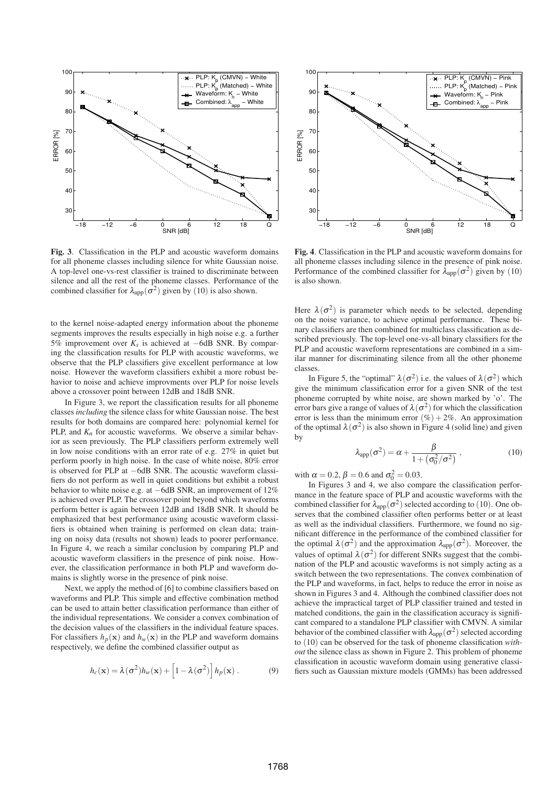

**Fig. 3**. Classification in the PLP and acoustic waveform domains for all phoneme classes including silence for white Gaussian noise. A top-level one-vs-rest classifier is trained to discriminate between silence and all the rest of the phoneme classes. Performance of the combined classifier for  $\lambda_{\rm app}(\sigma^2)$  given by (10) is also shown.

to the kernel noise-adapted energy information about the phoneme segments improves the results especially in high noise e.g. a further 5% improvement over *K<sup>s</sup>* is achieved at −6dB SNR. By comparing the classification results for PLP with acoustic waveforms, we observe that the PLP classifiers give excellent performance at low noise. However the waveform classifiers exhibit a more robust behavior to noise and achieve improvments over PLP for noise levels above a crossover point between 12dB and 18dB SNR.

In Figure 3, we report the classification results for all phoneme classes *including* the silence class for white Gaussian noise. The best results for both domains are compared here: polynomial kernel for PLP, and  $K_n$  for acoustic waveforms. We observe a similar behavior as seen previously. The PLP classifiers perform extremely well in low noise conditions with an error rate of e.g. 27% in quiet but perform poorly in high noise. In the case of white noise, 80% error is observed for PLP at −6dB SNR. The acoustic waveform classifiers do not perform as well in quiet conditions but exhibit a robust behavior to white noise e.g. at −6dB SNR, an improvement of 12% is achieved over PLP. The crossover point beyond which waveforms perform better is again between 12dB and 18dB SNR. It should be emphasized that best performance using acoustic waveform classifiers is obtained when training is performed on clean data; training on noisy data (results not shown) leads to poorer performance. In Figure 4, we reach a similar conclusion by comparing PLP and acoustic waveform classifiers in the presence of pink noise. However, the classification performance in both PLP and waveform domains is slightly worse in the presence of pink noise.

Next, we apply the method of [6] to combine classifiers based on waveforms and PLP. This simple and effective combination method can be used to attain better classification performance than either of the individual representations. We consider a convex combination of the decision values of the classifiers in the individual feature spaces. For classifiers  $h_p(\mathbf{x})$  and  $h_w(\mathbf{x})$  in the PLP and waveform domains respectively, we define the combined classifier output as

$$
h_c(\mathbf{x}) = \lambda(\sigma^2)h_w(\mathbf{x}) + \left[1 - \lambda(\sigma^2)\right]h_p(\mathbf{x}).
$$
 (9)



**Fig. 4**. Classification in the PLP and acoustic waveform domains for all phoneme classes including silence in the presence of pink noise. Performance of the combined classifier for  $\lambda_{\text{app}}(\sigma^2)$  given by (10) is also shown.

Here  $\lambda(\sigma^2)$  is parameter which needs to be selected, depending on the noise variance, to achieve optimal performance. These binary classifiers are then combined for multiclass classification as described previously. The top-level one-vs-all binary classifiers for the PLP and acoustic waveform representations are combined in a similar manner for discriminating silence from all the other phoneme classes.

In Figure 5, the "optimal"  $\lambda(\sigma^2)$  i.e. the values of  $\lambda(\sigma^2)$  which give the minimum classification error for a given SNR of the test phoneme corrupted by white noise, are shown marked by 'o'. The error bars give a range of values of  $\lambda(\sigma^2)$  for which the classification error is less than the minimum error  $(\%) + 2\%$ . An approximation of the optimal  $\lambda(\sigma^2)$  is also shown in Figure 4 (solid line) and given by

$$
\lambda_{\rm app}(\sigma^2) = \alpha + \frac{\beta}{1 + (\sigma_0^2/\sigma^2)}\,,\tag{10}
$$

with  $\alpha = 0.2$ ,  $\beta = 0.6$  and  $\sigma_0^2 = 0.03$ .

In Figures 3 and 4, we also compare the classification performance in the feature space of PLP and acoustic waveforms with the combined classifier for  $\lambda_{\rm app}(\sigma^2)$  selected according to (10). One observes that the combined classifier often performs better or at least as well as the individual classifiers. Furthermore, we found no significant difference in the performance of the combined classifier for the optimal  $\lambda(\sigma^2)$  and the approximation  $\lambda_{app}(\sigma^2)$ . Moreover, the values of optimal  $\lambda(\sigma^2)$  for different SNRs suggest that the combination of the PLP and acoustic waveforms is not simply acting as a switch between the two representations. The convex combination of the PLP and waveforms, in fact, helps to reduce the error in noise as shown in Figures 3 and 4. Although the combined classifier does not achieve the impractical target of PLP classifier trained and tested in matched conditions, the gain in the classification accuracy is significant compared to a standalone PLP classifier with CMVN. A similar behavior of the combined classifier with  $\lambda_{app}(\sigma^2)$  selected according to (10) can be observed for the task of phoneme classification *without* the silence class as shown in Figure 2. This problem of phoneme classification in acoustic waveform domain using generative classifiers such as Gaussian mixture models (GMMs) has been addressed